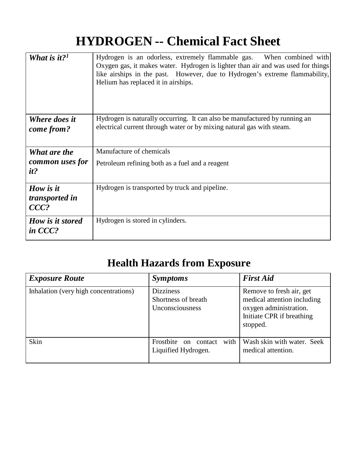## **HYDROGEN -- Chemical Fact Sheet**

| What is it? <sup>1</sup>                      | Hydrogen is an odorless, extremely flammable gas. When combined with<br>Oxygen gas, it makes water. Hydrogen is lighter than air and was used for things<br>like airships in the past. However, due to Hydrogen's extreme flammability,<br>Helium has replaced it in airships. |
|-----------------------------------------------|--------------------------------------------------------------------------------------------------------------------------------------------------------------------------------------------------------------------------------------------------------------------------------|
| <b>Where does it</b><br>come from?            | Hydrogen is naturally occurring. It can also be manufactured by running an<br>electrical current through water or by mixing natural gas with steam.                                                                                                                            |
| What are the<br>common uses for<br>it?        | Manufacture of chemicals<br>Petroleum refining both as a fuel and a reagent                                                                                                                                                                                                    |
| How is it<br><i>transported in</i><br>$CCC$ ? | Hydrogen is transported by truck and pipeline.                                                                                                                                                                                                                                 |
| How is it stored<br>in $CCC$ ?                | Hydrogen is stored in cylinders.                                                                                                                                                                                                                                               |

## **Health Hazards from Exposure**

| <b>Exposure Route</b>                 | <i>Symptoms</i>                                                 | <b>First Aid</b>                                                                                                           |
|---------------------------------------|-----------------------------------------------------------------|----------------------------------------------------------------------------------------------------------------------------|
| Inhalation (very high concentrations) | <b>Dizziness</b><br>Shortness of breath<br>Unconsciousness      | Remove to fresh air, get<br>medical attention including<br>oxygen administration.<br>Initiate CPR if breathing<br>stopped. |
| Skin                                  | with<br>Frostbite<br>contact<br>$\alpha$<br>Liquified Hydrogen. | Wash skin with water. Seek<br>medical attention.                                                                           |